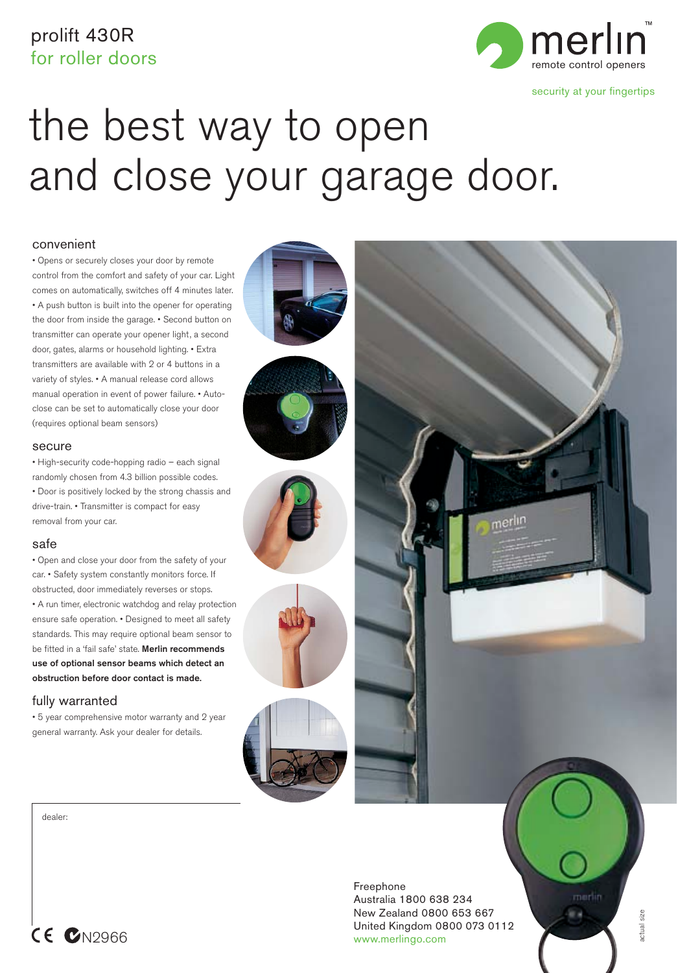# prolift 430R



security at your fingertips

# the best way to open and close your garage door.

### convenient

• Opens or securely closes your door by remote control from the comfort and safety of your car. Light comes on automatically, switches off 4 minutes later. • A push button is built into the opener for operating the door from inside the garage. • Second button on transmitter can operate your opener light, a second door, gates, alarms or household lighting. • Extra transmitters are available with 2 or 4 buttons in a variety of styles. • A manual release cord allows manual operation in event of power failure. • Autoclose can be set to automatically close your door (requires optional beam sensors)

#### secure

• High-security code-hopping radio – each signal randomly chosen from 4.3 billion possible codes. • Door is positively locked by the strong chassis and drive-train. • Transmitter is compact for easy removal from your car.

### safe

• Open and close your door from the safety of your car. • Safety system constantly monitors force. If obstructed, door immediately reverses or stops. • A run timer, electronic watchdog and relay protection ensure safe operation. • Designed to meet all safety standards. This may require optional beam sensor to be fitted in a 'fail safe' state. **Merlin recommends use of optional sensor beams which detect an obstruction before door contact is made.**

### fully warranted

• 5 year comprehensive motor warranty and 2 year general warranty. Ask your dealer for details.

dealer:



Freephone Australia 1800 638 234 New Zealand 0800 653 667 United Kingdom 0800 073 0112 CE CN2966 www.merlingo.com

morlin